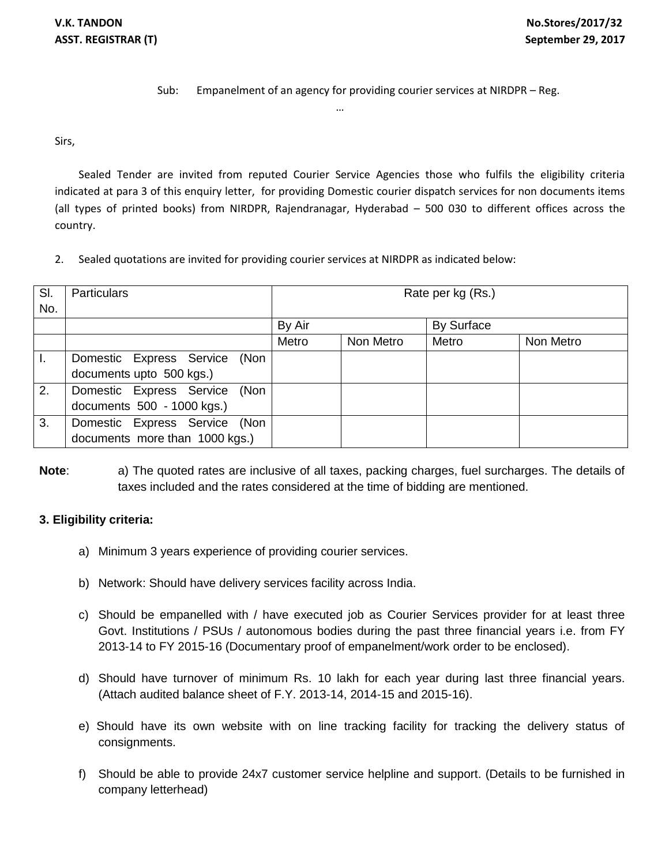Sub: Empanelment of an agency for providing courier services at NIRDPR – Reg.

Sirs,

Sealed Tender are invited from reputed Courier Service Agencies those who fulfils the eligibility criteria indicated at para 3 of this enquiry letter, for providing Domestic courier dispatch services for non documents items (all types of printed books) from NIRDPR, Rajendranagar, Hyderabad – 500 030 to different offices across the country.

…

2. Sealed quotations are invited for providing courier services at NIRDPR as indicated below:

| SI.            | <b>Particulars</b>             | Rate per kg (Rs.) |           |            |           |
|----------------|--------------------------------|-------------------|-----------|------------|-----------|
| No.            |                                |                   |           |            |           |
|                |                                | By Air            |           | By Surface |           |
|                |                                | Metro             | Non Metro | Metro      | Non Metro |
| $\mathbf{I}$ . | Domestic Express Service (Non  |                   |           |            |           |
|                | documents upto 500 kgs.)       |                   |           |            |           |
| 2.             | Domestic Express Service (Non  |                   |           |            |           |
|                | documents 500 - 1000 kgs.)     |                   |           |            |           |
| 3.             | Domestic Express Service (Non  |                   |           |            |           |
|                | documents more than 1000 kgs.) |                   |           |            |           |

**Note**: a) The quoted rates are inclusive of all taxes, packing charges, fuel surcharges. The details of taxes included and the rates considered at the time of bidding are mentioned.

## **3. Eligibility criteria:**

- a) Minimum 3 years experience of providing courier services.
- b) Network: Should have delivery services facility across India.
- c) Should be empanelled with / have executed job as Courier Services provider for at least three Govt. Institutions / PSUs / autonomous bodies during the past three financial years i.e. from FY 2013-14 to FY 2015-16 (Documentary proof of empanelment/work order to be enclosed).
- d) Should have turnover of minimum Rs. 10 lakh for each year during last three financial years. (Attach audited balance sheet of F.Y. 2013-14, 2014-15 and 2015-16).
- e) Should have its own website with on line tracking facility for tracking the delivery status of consignments.
- f) Should be able to provide 24x7 customer service helpline and support. (Details to be furnished in company letterhead)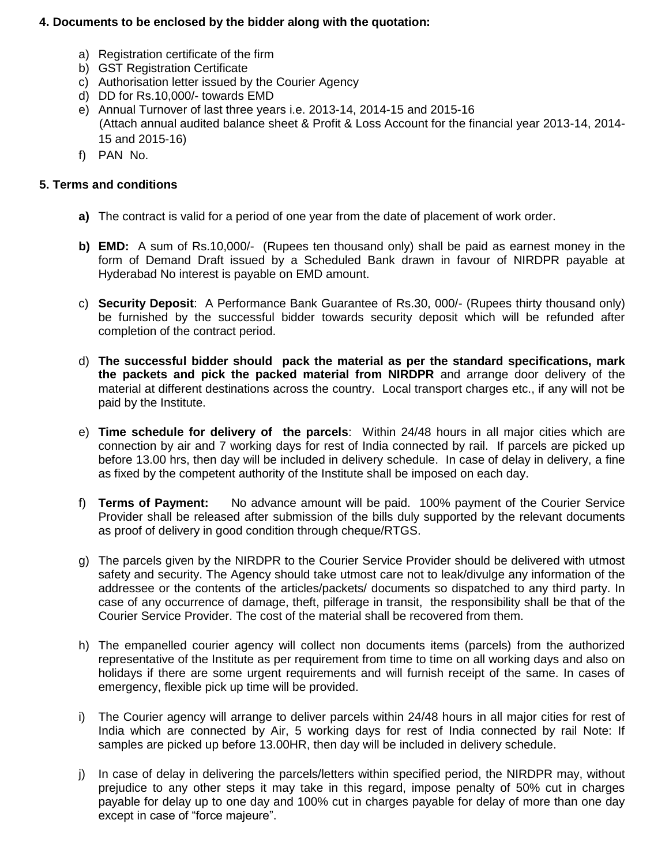## **4. Documents to be enclosed by the bidder along with the quotation:**

- a) Registration certificate of the firm
- b) GST Registration Certificate
- c) Authorisation letter issued by the Courier Agency
- d) DD for Rs.10,000/- towards EMD
- e) Annual Turnover of last three years i.e. 2013-14, 2014-15 and 2015-16 (Attach annual audited balance sheet & Profit & Loss Account for the financial year 2013-14, 2014- 15 and 2015-16)
- f) PAN No.

## **5. Terms and conditions**

- **a)** The contract is valid for a period of one year from the date of placement of work order.
- **b) EMD:** A sum of Rs.10,000/- (Rupees ten thousand only) shall be paid as earnest money in the form of Demand Draft issued by a Scheduled Bank drawn in favour of NIRDPR payable at Hyderabad No interest is payable on EMD amount.
- c) **Security Deposit**: A Performance Bank Guarantee of Rs.30, 000/- (Rupees thirty thousand only) be furnished by the successful bidder towards security deposit which will be refunded after completion of the contract period.
- d) **The successful bidder should pack the material as per the standard specifications, mark the packets and pick the packed material from NIRDPR** and arrange door delivery of the material at different destinations across the country. Local transport charges etc., if any will not be paid by the Institute.
- e) **Time schedule for delivery of the parcels**: Within 24/48 hours in all major cities which are connection by air and 7 working days for rest of India connected by rail. If parcels are picked up before 13.00 hrs, then day will be included in delivery schedule. In case of delay in delivery, a fine as fixed by the competent authority of the Institute shall be imposed on each day.
- f) **Terms of Payment:** No advance amount will be paid. 100% payment of the Courier Service Provider shall be released after submission of the bills duly supported by the relevant documents as proof of delivery in good condition through cheque/RTGS.
- g) The parcels given by the NIRDPR to the Courier Service Provider should be delivered with utmost safety and security. The Agency should take utmost care not to leak/divulge any information of the addressee or the contents of the articles/packets/ documents so dispatched to any third party. In case of any occurrence of damage, theft, pilferage in transit, the responsibility shall be that of the Courier Service Provider. The cost of the material shall be recovered from them.
- h) The empanelled courier agency will collect non documents items (parcels) from the authorized representative of the Institute as per requirement from time to time on all working days and also on holidays if there are some urgent requirements and will furnish receipt of the same. In cases of emergency, flexible pick up time will be provided.
- i) The Courier agency will arrange to deliver parcels within 24/48 hours in all major cities for rest of India which are connected by Air, 5 working days for rest of India connected by rail Note: If samples are picked up before 13.00HR, then day will be included in delivery schedule.
- j) In case of delay in delivering the parcels/letters within specified period, the NIRDPR may, without prejudice to any other steps it may take in this regard, impose penalty of 50% cut in charges payable for delay up to one day and 100% cut in charges payable for delay of more than one day except in case of "force majeure".